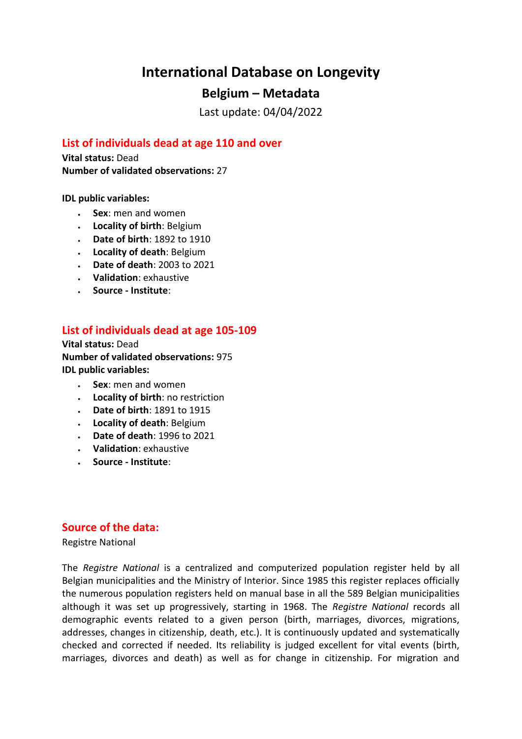# **International Database on Longevity**

## **Belgium – Metadata**

Last update: 04/04/2022

## **List of individuals dead at age 110 and over**

**Vital status:** Dead **Number of validated observations:** 27

**IDL public variables:** 

- **Sex**: men and women
- **Locality of birth**: Belgium
- **Date of birth**: 1892 to 1910
- **Locality of death**: Belgium
- **Date of death**: 2003 to 2021
- **Validation**: exhaustive
- **Source - Institute**:

### **List of individuals dead at age 105-109**

**Vital status:** Dead **Number of validated observations:** 975 **IDL public variables:** 

- **Sex**: men and women
- **Locality of birth**: no restriction
- **Date of birth**: 1891 to 1915
- **Locality of death**: Belgium
- **Date of death**: 1996 to 2021
- **Validation**: exhaustive
- **Source - Institute**:

#### **Source of the data:**

Registre National

The *Registre National* is a centralized and computerized population register held by all Belgian municipalities and the Ministry of Interior. Since 1985 this register replaces officially the numerous population registers held on manual base in all the 589 Belgian municipalities although it was set up progressively, starting in 1968. The *Registre National* records all demographic events related to a given person (birth, marriages, divorces, migrations, addresses, changes in citizenship, death, etc.). It is continuously updated and systematically checked and corrected if needed. Its reliability is judged excellent for vital events (birth, marriages, divorces and death) as well as for change in citizenship. For migration and